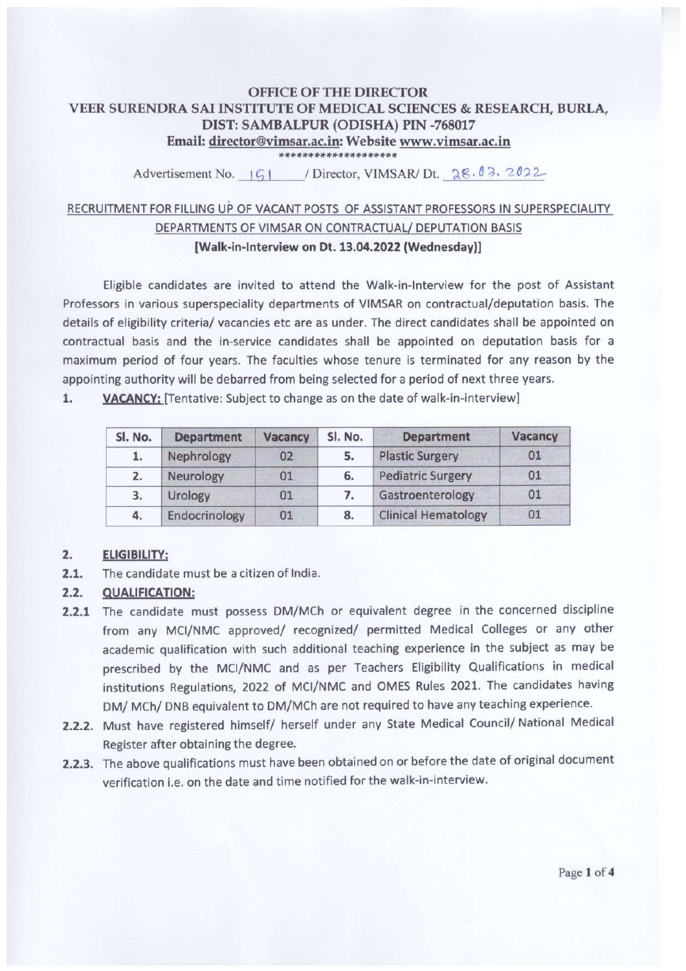### **OFFICE OF THE DIRECTOR** VEER SURENDRA SAI INSTITUTE OF MEDICAL SCIENCES & RESEARCH, BURLA, DIST: SAMBALPUR (ODISHA) PIN -768017 Email: director@vimsar.ac.in: Website www.vimsar.ac.in \*\*\*\*\*\*\*\*\*\*\*\*\*\*\*\*\*\*\*\*

Advertisement No. (5) / Director, VIMSAR/ Dt. 28.03.2022

# RECRUITMENT FOR FILLING UP OF VACANT POSTS OF ASSISTANT PROFESSORS IN SUPERSPECIALITY DEPARTMENTS OF VIMSAR ON CONTRACTUAL/ DEPUTATION BASIS [Walk-in-Interview on Dt. 13.04.2022 (Wednesday)]

Eligible candidates are invited to attend the Walk-in-Interview for the post of Assistant Professors in various superspeciality departments of VIMSAR on contractual/deputation basis. The details of eligibility criteria/ vacancies etc are as under. The direct candidates shall be appointed on contractual basis and the in-service candidates shall be appointed on deputation basis for a maximum period of four years. The faculties whose tenure is terminated for any reason by the appointing authority will be debarred from being selected for a period of next three years.

1. VACANCY: [Tentative: Subject to change as on the date of walk-in-interview]

| Sl. No. | <b>Department</b> | Vacancy | Sl. No. | <b>Department</b>          | Vacancy |
|---------|-------------------|---------|---------|----------------------------|---------|
| 1.      | Nephrology        | 02      | 5.      | <b>Plastic Surgery</b>     | 01      |
| 2.      | Neurology         | 01      | 6.      | <b>Pediatric Surgery</b>   | 01      |
| 3.      | Urology           | 01      |         | Gastroenterology           | 01      |
| 4.      | Endocrinology     | 01      | 8.      | <b>Clinical Hematology</b> | 01      |

### $2.$ **ELIGIBILITY:**

 $2.1.$ The candidate must be a citizen of India.

### $2.2.$ **QUALIFICATION:**

- 2.2.1 The candidate must possess DM/MCh or equivalent degree in the concerned discipline from any MCI/NMC approved/ recognized/ permitted Medical Colleges or any other academic qualification with such additional teaching experience in the subject as may be prescribed by the MCI/NMC and as per Teachers Eligibility Qualifications in medical institutions Regulations, 2022 of MCI/NMC and OMES Rules 2021. The candidates having DM/ MCh/ DNB equivalent to DM/MCh are not required to have any teaching experience.
- 2.2.2. Must have registered himself/ herself under any State Medical Council/ National Medical Register after obtaining the degree.
- 2.2.3. The above qualifications must have been obtained on or before the date of original document verification i.e. on the date and time notified for the walk-in-interview.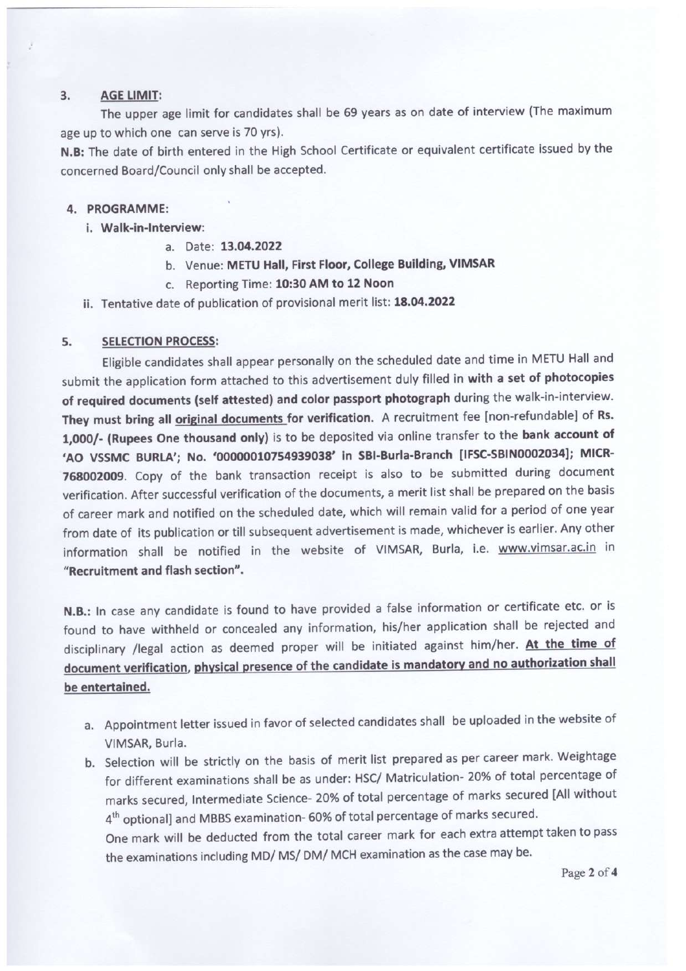#### $3.$ **AGE LIMIT:**

The upper age limit for candidates shall be 69 years as on date of interview (The maximum age up to which one can serve is 70 yrs).

N.B: The date of birth entered in the High School Certificate or equivalent certificate issued by the concerned Board/Council only shall be accepted.

### 4. PROGRAMME:

- i. Walk-in-Interview:
	- a. Date: 13.04.2022
	- b. Venue: METU Hall, First Floor, College Building, VIMSAR
	- c. Reporting Time: 10:30 AM to 12 Noon
- ii. Tentative date of publication of provisional merit list: 18.04.2022

#### 5. **SELECTION PROCESS:**

Eligible candidates shall appear personally on the scheduled date and time in METU Hall and submit the application form attached to this advertisement duly filled in with a set of photocopies of required documents (self attested) and color passport photograph during the walk-in-interview. They must bring all original documents for verification. A recruitment fee [non-refundable] of Rs. 1,000/- (Rupees One thousand only) is to be deposited via online transfer to the bank account of 'AO VSSMC BURLA'; No. '00000010754939038' in SBI-Burla-Branch [IFSC-SBIN0002034]; MICR-768002009. Copy of the bank transaction receipt is also to be submitted during document verification. After successful verification of the documents, a merit list shall be prepared on the basis of career mark and notified on the scheduled date, which will remain valid for a period of one year from date of its publication or till subsequent advertisement is made, whichever is earlier. Any other information shall be notified in the website of VIMSAR, Burla, i.e. www.vimsar.ac.in in "Recruitment and flash section".

N.B.: In case any candidate is found to have provided a false information or certificate etc. or is found to have withheld or concealed any information, his/her application shall be rejected and disciplinary /legal action as deemed proper will be initiated against him/her. At the time of document verification, physical presence of the candidate is mandatory and no authorization shall be entertained.

- a. Appointment letter issued in favor of selected candidates shall be uploaded in the website of VIMSAR, Burla.
- b. Selection will be strictly on the basis of merit list prepared as per career mark. Weightage for different examinations shall be as under: HSC/ Matriculation- 20% of total percentage of marks secured, Intermediate Science- 20% of total percentage of marks secured [All without 4<sup>th</sup> optional] and MBBS examination- 60% of total percentage of marks secured.

One mark will be deducted from the total career mark for each extra attempt taken to pass the examinations including MD/ MS/ DM/ MCH examination as the case may be.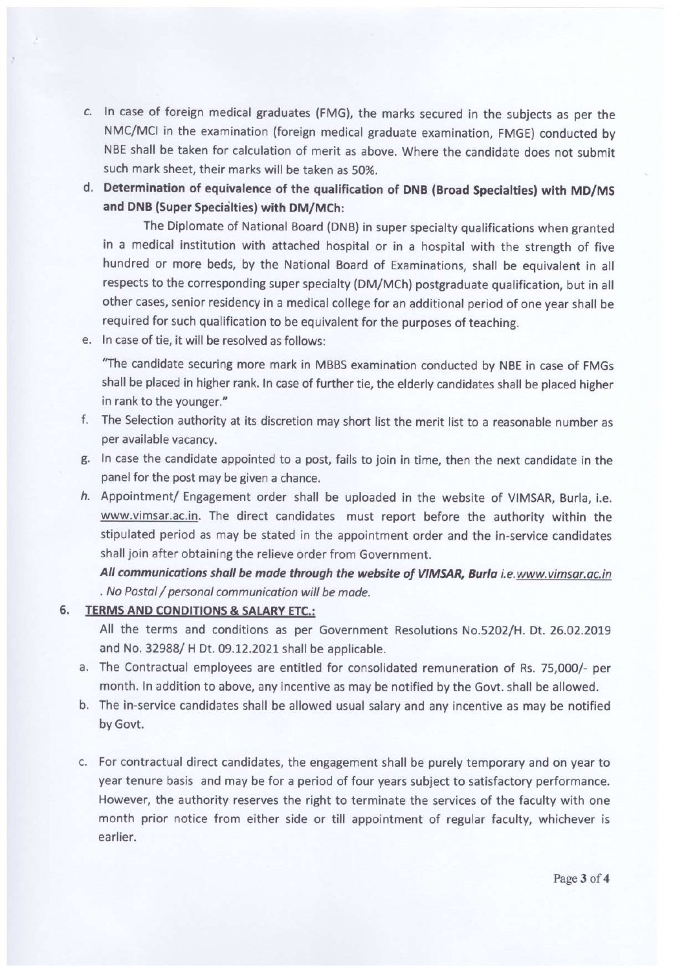- c. In case of foreign medical graduates (FMG), the marks secured in the subjects as per the NMC/MCI in the examination (foreign medical graduate examination, FMGE) conducted by NBE shall be taken for calculation of merit as above. Where the candidate does not submit such mark sheet, their marks will be taken as 50%.
- d. Determination of equivalence of the qualification of DNB (Broad Specialties) with MD/MS and DNB (Super Specialties) with DM/MCh:

The Diplomate of National Board (DNB) in super specialty qualifications when granted in a medical institution with attached hospital or in a hospital with the strength of five hundred or more beds, by the National Board of Examinations, shall be equivalent in all respects to the corresponding super specialty (DM/MCh) postgraduate qualification, but in all other cases, senior residency in a medical college for an additional period of one year shall be required for such qualification to be equivalent for the purposes of teaching.

e. In case of tie, it will be resolved as follows:

"The candidate securing more mark in MBBS examination conducted by NBE in case of FMGs shall be placed in higher rank. In case of further tie, the elderly candidates shall be placed higher in rank to the younger."

- f. The Selection authority at its discretion may short list the merit list to a reasonable number as per available vacancy.
- g. In case the candidate appointed to a post, fails to join in time, then the next candidate in the panel for the post may be given a chance.
- h. Appointment/ Engagement order shall be uploaded in the website of VIMSAR, Burla, i.e. www.vimsar.ac.in. The direct candidates must report before the authority within the stipulated period as may be stated in the appointment order and the in-service candidates shall join after obtaining the relieve order from Government.

All communications shall be made through the website of VIMSAR, Burla i.e.www.vimsar.ac.in . No Postal / personal communication will be made.

6. TERMS AND CONDITIONS & SALARY ETC.:

All the terms and conditions as per Government Resolutions No.5202/H. Dt. 26.02.2019 and No. 32988/ H Dt. 09.12.2021 shall be applicable.

- a. The Contractual employees are entitled for consolidated remuneration of Rs. 75,000/- per month. In addition to above, any incentive as may be notified by the Govt. shall be allowed.
- b. The in-service candidates shall be allowed usual salary and any incentive as may be notified by Govt.
- c. For contractual direct candidates, the engagement shall be purely temporary and on year to year tenure basis and may be for a period of four years subject to satisfactory performance. However, the authority reserves the right to terminate the services of the faculty with one month prior notice from either side or till appointment of regular faculty, whichever is earlier.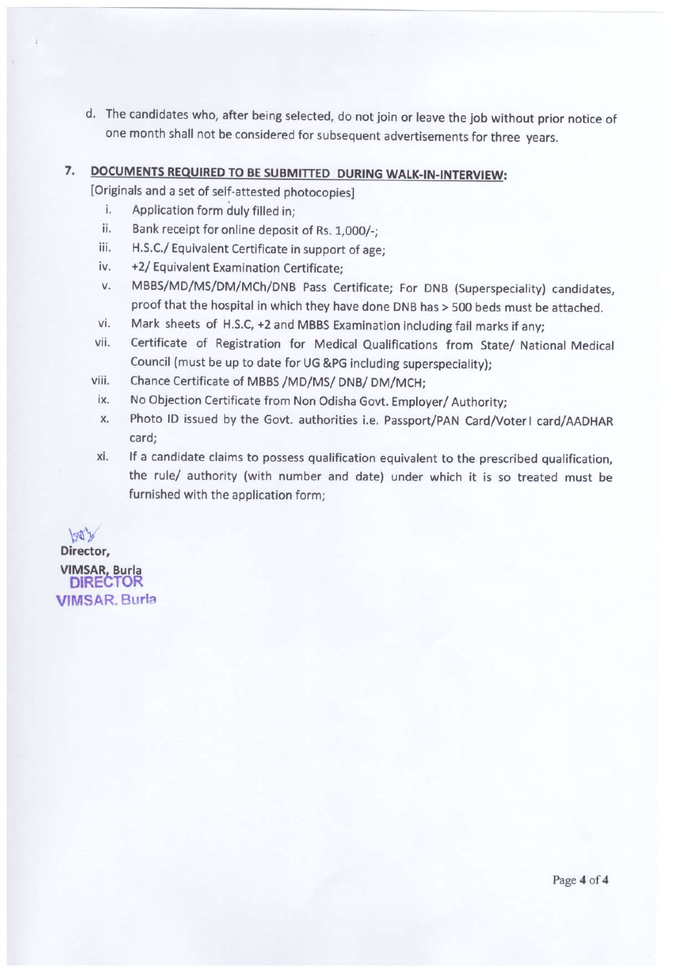d. The candidates who, after being selected, do not join or leave the job without prior notice of one month shall not be considered for subsequent advertisements for three years.

# 7. DOCUMENTS REQUIRED TO BE SUBMITTED DURING WALK-IN-INTERVIEW:

[Originals and a set of self-attested photocopies]

- i. Application form duly filled in:
- ii. Bank receipt for online deposit of Rs. 1,000/-;
- iii. H.S.C./ Equivalent Certificate in support of age;
- +2/ Equivalent Examination Certificate; iv.
- MBBS/MD/MS/DM/MCh/DNB Pass Certificate; For DNB (Superspeciality) candidates, V. proof that the hospital in which they have done DNB has > 500 beds must be attached.
- Mark sheets of H.S.C, +2 and MBBS Examination including fail marks if any; vi.
- vii. Certificate of Registration for Medical Qualifications from State/ National Medical Council (must be up to date for UG &PG including superspeciality);
- Chance Certificate of MBBS /MD/MS/ DNB/ DM/MCH; viii.
- No Objection Certificate from Non Odisha Govt. Employer/ Authority; ix.
- Photo ID issued by the Govt. authorities i.e. Passport/PAN Card/Voter1 card/AADHAR X. card:
- If a candidate claims to possess qualification equivalent to the prescribed qualification, xi. the rule/ authority (with number and date) under which it is so treated must be furnished with the application form;

boty Director, **VIMSAR, Burla<br>DIRECTOR VIMSAR, Burla**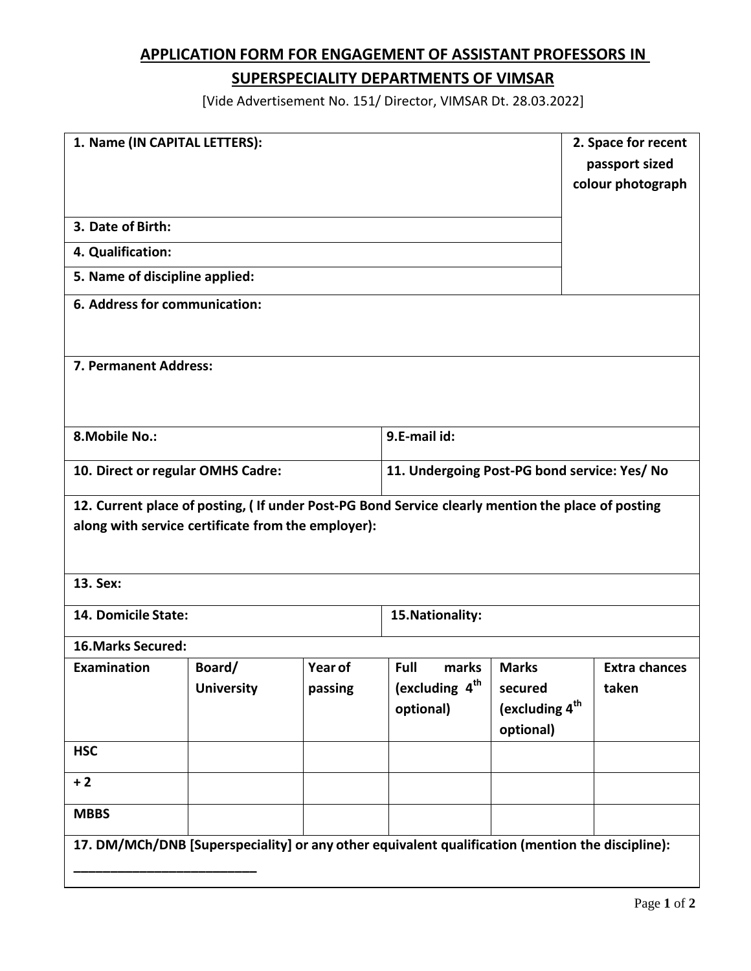# **APPLICATION FORM FOR ENGAGEMENT OF ASSISTANT PROFESSORS IN**

## **SUPERSPECIALITY DEPARTMENTS OF VIMSAR**

[Vide Advertisement No. 151/ Director, VIMSAR Dt. 28.03.2022]

| 1. Name (IN CAPITAL LETTERS):                                                                     |                   | 2. Space for recent |                                              |                            |                      |  |  |  |  |  |
|---------------------------------------------------------------------------------------------------|-------------------|---------------------|----------------------------------------------|----------------------------|----------------------|--|--|--|--|--|
|                                                                                                   |                   | passport sized      |                                              |                            |                      |  |  |  |  |  |
|                                                                                                   |                   |                     |                                              |                            | colour photograph    |  |  |  |  |  |
|                                                                                                   |                   |                     |                                              |                            |                      |  |  |  |  |  |
| 3. Date of Birth:                                                                                 |                   |                     |                                              |                            |                      |  |  |  |  |  |
| 4. Qualification:                                                                                 |                   |                     |                                              |                            |                      |  |  |  |  |  |
| 5. Name of discipline applied:                                                                    |                   |                     |                                              |                            |                      |  |  |  |  |  |
| 6. Address for communication:                                                                     |                   |                     |                                              |                            |                      |  |  |  |  |  |
|                                                                                                   |                   |                     |                                              |                            |                      |  |  |  |  |  |
| 7. Permanent Address:                                                                             |                   |                     |                                              |                            |                      |  |  |  |  |  |
|                                                                                                   |                   |                     |                                              |                            |                      |  |  |  |  |  |
|                                                                                                   |                   |                     |                                              |                            |                      |  |  |  |  |  |
| 8. Mobile No.:                                                                                    |                   |                     | 9.E-mail id:                                 |                            |                      |  |  |  |  |  |
| 10. Direct or regular OMHS Cadre:                                                                 |                   |                     | 11. Undergoing Post-PG bond service: Yes/ No |                            |                      |  |  |  |  |  |
|                                                                                                   |                   |                     |                                              |                            |                      |  |  |  |  |  |
| 12. Current place of posting, (If under Post-PG Bond Service clearly mention the place of posting |                   |                     |                                              |                            |                      |  |  |  |  |  |
| along with service certificate from the employer):                                                |                   |                     |                                              |                            |                      |  |  |  |  |  |
|                                                                                                   |                   |                     |                                              |                            |                      |  |  |  |  |  |
| 13. Sex:                                                                                          |                   |                     |                                              |                            |                      |  |  |  |  |  |
| 14. Domicile State:                                                                               |                   |                     | 15. Nationality:                             |                            |                      |  |  |  |  |  |
| <b>16. Marks Secured:</b>                                                                         |                   |                     |                                              |                            |                      |  |  |  |  |  |
| <b>Examination</b>                                                                                | Board/            | Year of             | Full<br>marks                                | <b>Marks</b>               | <b>Extra chances</b> |  |  |  |  |  |
|                                                                                                   | <b>University</b> | passing             | (excluding 4 <sup>th</sup>                   | secured                    | taken                |  |  |  |  |  |
|                                                                                                   |                   |                     | optional)                                    | (excluding 4 <sup>th</sup> |                      |  |  |  |  |  |
|                                                                                                   |                   |                     |                                              | optional)                  |                      |  |  |  |  |  |
| <b>HSC</b>                                                                                        |                   |                     |                                              |                            |                      |  |  |  |  |  |
| $+2$                                                                                              |                   |                     |                                              |                            |                      |  |  |  |  |  |
| <b>MBBS</b>                                                                                       |                   |                     |                                              |                            |                      |  |  |  |  |  |
| 17. DM/MCh/DNB [Superspeciality] or any other equivalent qualification (mention the discipline):  |                   |                     |                                              |                            |                      |  |  |  |  |  |
|                                                                                                   |                   |                     |                                              |                            |                      |  |  |  |  |  |
|                                                                                                   |                   |                     |                                              |                            |                      |  |  |  |  |  |